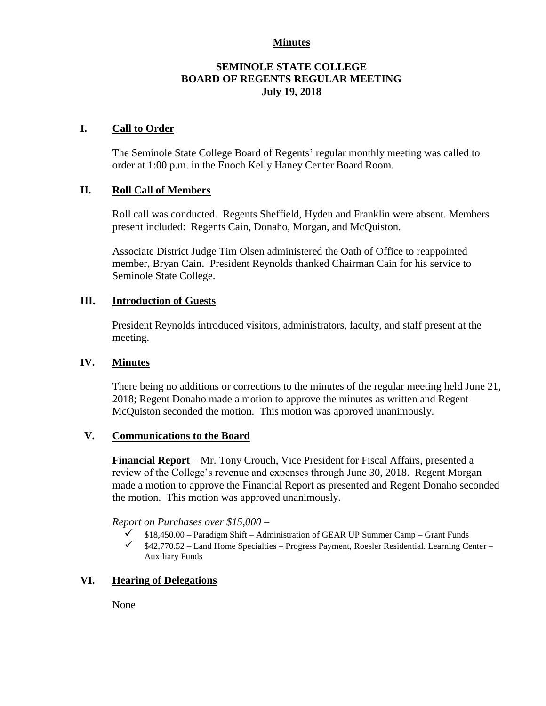#### **Minutes**

#### **SEMINOLE STATE COLLEGE BOARD OF REGENTS REGULAR MEETING July 19, 2018**

#### **I. Call to Order**

The Seminole State College Board of Regents' regular monthly meeting was called to order at 1:00 p.m. in the Enoch Kelly Haney Center Board Room.

### **II. Roll Call of Members**

Roll call was conducted. Regents Sheffield, Hyden and Franklin were absent. Members present included: Regents Cain, Donaho, Morgan, and McQuiston.

Associate District Judge Tim Olsen administered the Oath of Office to reappointed member, Bryan Cain. President Reynolds thanked Chairman Cain for his service to Seminole State College.

### **III. Introduction of Guests**

President Reynolds introduced visitors, administrators, faculty, and staff present at the meeting.

#### **IV. Minutes**

There being no additions or corrections to the minutes of the regular meeting held June 21, 2018; Regent Donaho made a motion to approve the minutes as written and Regent McQuiston seconded the motion. This motion was approved unanimously.

# **V. Communications to the Board**

**Financial Report** – Mr. Tony Crouch, Vice President for Fiscal Affairs, presented a review of the College's revenue and expenses through June 30, 2018. Regent Morgan made a motion to approve the Financial Report as presented and Regent Donaho seconded the motion. This motion was approved unanimously.

*Report on Purchases over \$15,000 –*

- $\checkmark$  \$18,450.00 Paradigm Shift Administration of GEAR UP Summer Camp Grant Funds
- $\checkmark$  \$42,770.52 Land Home Specialties Progress Payment, Roesler Residential. Learning Center Auxiliary Funds

# **VI. Hearing of Delegations**

None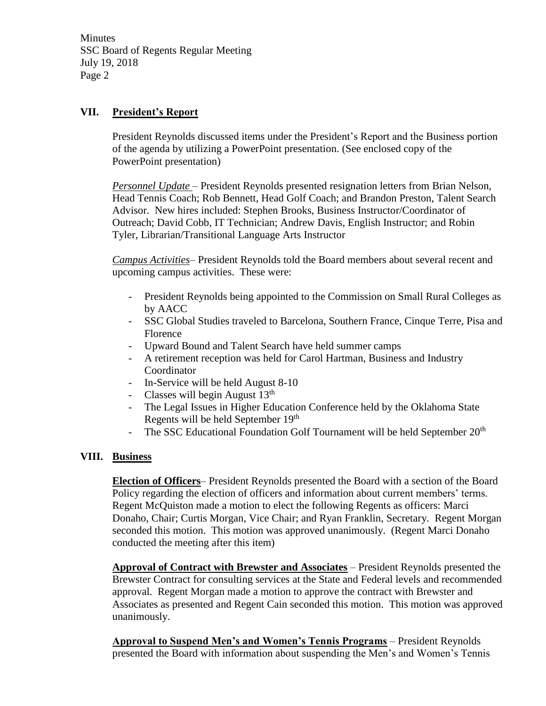**Minutes** SSC Board of Regents Regular Meeting July 19, 2018 Page 2

# **VII. President's Report**

President Reynolds discussed items under the President's Report and the Business portion of the agenda by utilizing a PowerPoint presentation. (See enclosed copy of the PowerPoint presentation)

*Personnel Update* – President Reynolds presented resignation letters from Brian Nelson, Head Tennis Coach; Rob Bennett, Head Golf Coach; and Brandon Preston, Talent Search Advisor. New hires included: Stephen Brooks, Business Instructor/Coordinator of Outreach; David Cobb, IT Technician; Andrew Davis, English Instructor; and Robin Tyler, Librarian/Transitional Language Arts Instructor

*Campus Activities*– President Reynolds told the Board members about several recent and upcoming campus activities. These were:

- President Reynolds being appointed to the Commission on Small Rural Colleges as by AACC
- SSC Global Studies traveled to Barcelona, Southern France, Cinque Terre, Pisa and Florence
- Upward Bound and Talent Search have held summer camps
- A retirement reception was held for Carol Hartman, Business and Industry Coordinator
- In-Service will be held August 8-10
- Classes will begin August  $13<sup>th</sup>$
- The Legal Issues in Higher Education Conference held by the Oklahoma State Regents will be held September 19th
- The SSC Educational Foundation Golf Tournament will be held September 20<sup>th</sup>

# **VIII. Business**

**Election of Officers**– President Reynolds presented the Board with a section of the Board Policy regarding the election of officers and information about current members' terms. Regent McQuiston made a motion to elect the following Regents as officers: Marci Donaho, Chair; Curtis Morgan, Vice Chair; and Ryan Franklin, Secretary. Regent Morgan seconded this motion. This motion was approved unanimously. (Regent Marci Donaho conducted the meeting after this item)

**Approval of Contract with Brewster and Associates** – President Reynolds presented the Brewster Contract for consulting services at the State and Federal levels and recommended approval. Regent Morgan made a motion to approve the contract with Brewster and Associates as presented and Regent Cain seconded this motion. This motion was approved unanimously.

**Approval to Suspend Men's and Women's Tennis Programs** – President Reynolds presented the Board with information about suspending the Men's and Women's Tennis